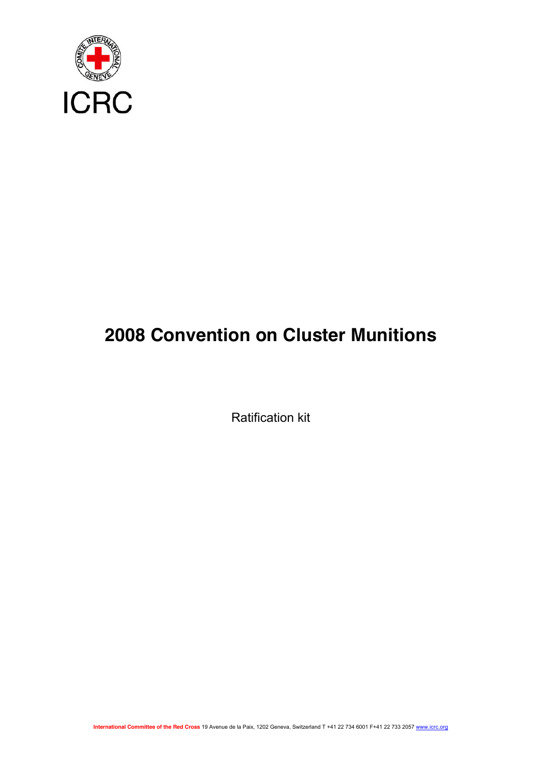

# **2008 Convention on Cluster Munitions**

Ratification kit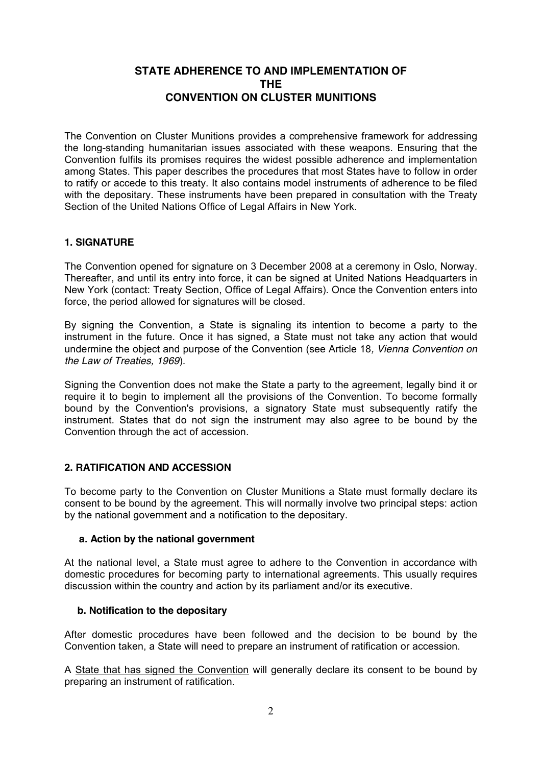# **STATE ADHERENCE TO AND IMPLEMENTATION OF THE CONVENTION ON CLUSTER MUNITIONS**

The Convention on Cluster Munitions provides a comprehensive framework for addressing the long-standing humanitarian issues associated with these weapons. Ensuring that the Convention fulfils its promises requires the widest possible adherence and implementation among States. This paper describes the procedures that most States have to follow in order to ratify or accede to this treaty. It also contains model instruments of adherence to be filed with the depositary. These instruments have been prepared in consultation with the Treaty Section of the United Nations Office of Legal Affairs in New York.

## **1. SIGNATURE**

The Convention opened for signature on 3 December 2008 at a ceremony in Oslo, Norway. Thereafter, and until its entry into force, it can be signed at United Nations Headquarters in New York (contact: Treaty Section, Office of Legal Affairs). Once the Convention enters into force, the period allowed for signatures will be closed.

By signing the Convention, a State is signaling its intention to become a party to the instrument in the future. Once it has signed, a State must not take any action that would undermine the object and purpose of the Convention (see Article 18*, Vienna Convention on the Law of Treaties, 1969*).

Signing the Convention does not make the State a party to the agreement, legally bind it or require it to begin to implement all the provisions of the Convention. To become formally bound by the Convention's provisions, a signatory State must subsequently ratify the instrument. States that do not sign the instrument may also agree to be bound by the Convention through the act of accession.

## **2. RATIFICATION AND ACCESSION**

To become party to the Convention on Cluster Munitions a State must formally declare its consent to be bound by the agreement. This will normally involve two principal steps: action by the national government and a notification to the depositary.

## **a. Action by the national government**

At the national level, a State must agree to adhere to the Convention in accordance with domestic procedures for becoming party to international agreements. This usually requires discussion within the country and action by its parliament and/or its executive.

## **b. Notification to the depositary**

After domestic procedures have been followed and the decision to be bound by the Convention taken, a State will need to prepare an instrument of ratification or accession.

A State that has signed the Convention will generally declare its consent to be bound by preparing an instrument of ratification.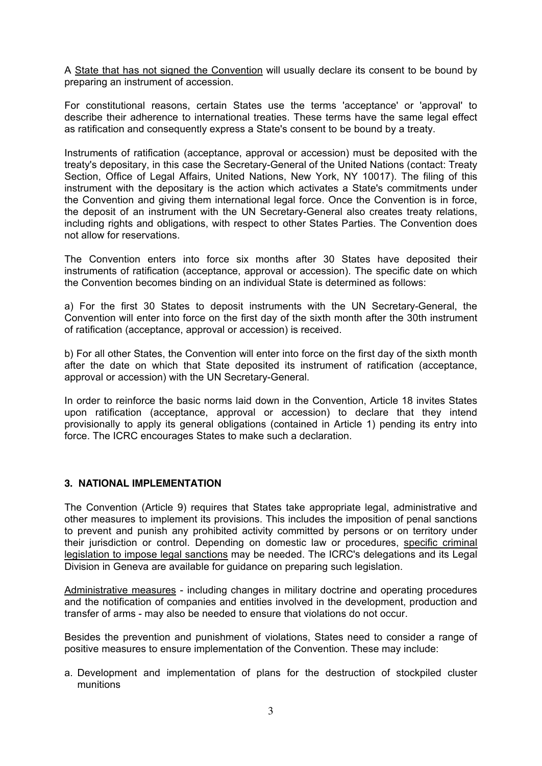A State that has not signed the Convention will usually declare its consent to be bound by preparing an instrument of accession.

For constitutional reasons, certain States use the terms 'acceptance' or 'approval' to describe their adherence to international treaties. These terms have the same legal effect as ratification and consequently express a State's consent to be bound by a treaty.

Instruments of ratification (acceptance, approval or accession) must be deposited with the treaty's depositary, in this case the Secretary-General of the United Nations (contact: Treaty Section, Office of Legal Affairs, United Nations, New York, NY 10017). The filing of this instrument with the depositary is the action which activates a State's commitments under the Convention and giving them international legal force. Once the Convention is in force, the deposit of an instrument with the UN Secretary-General also creates treaty relations, including rights and obligations, with respect to other States Parties. The Convention does not allow for reservations.

The Convention enters into force six months after 30 States have deposited their instruments of ratification (acceptance, approval or accession). The specific date on which the Convention becomes binding on an individual State is determined as follows:

a) For the first 30 States to deposit instruments with the UN Secretary-General, the Convention will enter into force on the first day of the sixth month after the 30th instrument of ratification (acceptance, approval or accession) is received.

b) For all other States, the Convention will enter into force on the first day of the sixth month after the date on which that State deposited its instrument of ratification (acceptance, approval or accession) with the UN Secretary-General.

In order to reinforce the basic norms laid down in the Convention, Article 18 invites States upon ratification (acceptance, approval or accession) to declare that they intend provisionally to apply its general obligations (contained in Article 1) pending its entry into force. The ICRC encourages States to make such a declaration.

## **3. NATIONAL IMPLEMENTATION**

The Convention (Article 9) requires that States take appropriate legal, administrative and other measures to implement its provisions. This includes the imposition of penal sanctions to prevent and punish any prohibited activity committed by persons or on territory under their jurisdiction or control. Depending on domestic law or procedures, specific criminal legislation to impose legal sanctions may be needed. The ICRC's delegations and its Legal Division in Geneva are available for guidance on preparing such legislation.

Administrative measures - including changes in military doctrine and operating procedures and the notification of companies and entities involved in the development, production and transfer of arms - may also be needed to ensure that violations do not occur.

Besides the prevention and punishment of violations, States need to consider a range of positive measures to ensure implementation of the Convention. These may include:

a. Development and implementation of plans for the destruction of stockpiled cluster munitions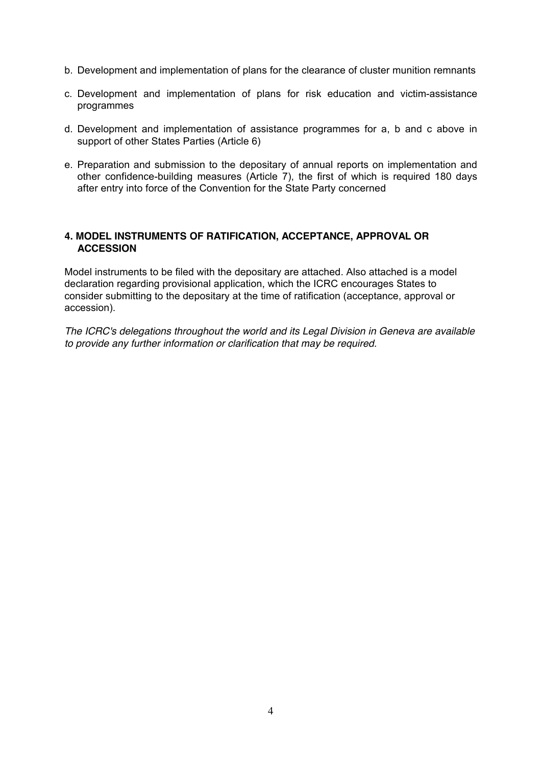- b. Development and implementation of plans for the clearance of cluster munition remnants
- c. Development and implementation of plans for risk education and victim-assistance programmes
- d. Development and implementation of assistance programmes for a, b and c above in support of other States Parties (Article 6)
- e. Preparation and submission to the depositary of annual reports on implementation and other confidence-building measures (Article 7), the first of which is required 180 days after entry into force of the Convention for the State Party concerned

## **4. MODEL INSTRUMENTS OF RATIFICATION, ACCEPTANCE, APPROVAL OR ACCESSION**

Model instruments to be filed with the depositary are attached. Also attached is a model declaration regarding provisional application, which the ICRC encourages States to consider submitting to the depositary at the time of ratification (acceptance, approval or accession).

*The ICRC's delegations throughout the world and its Legal Division in Geneva are available to provide any further information or clarification that may be required.*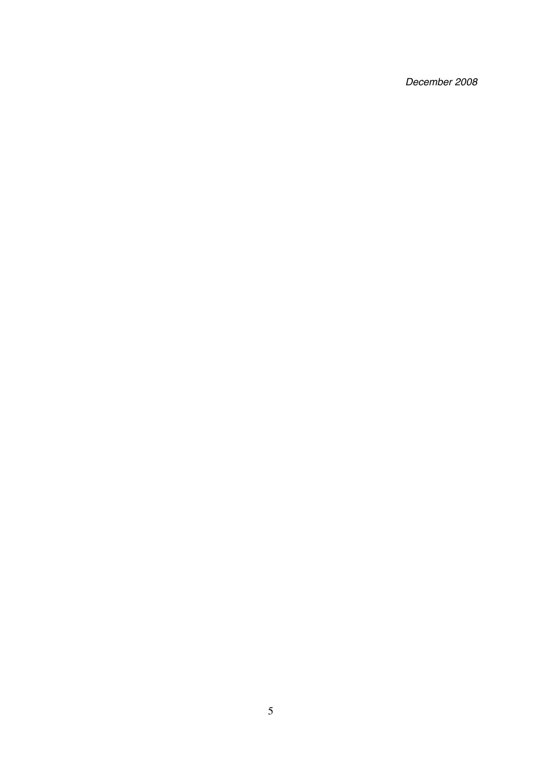*December 2008*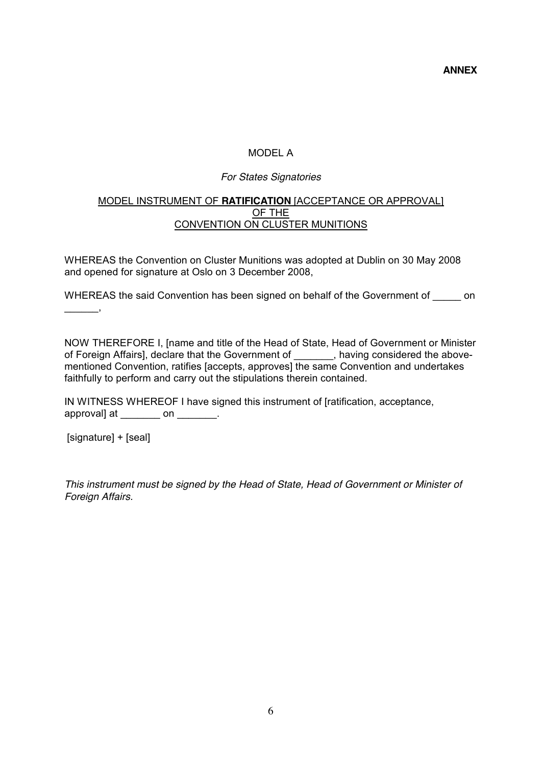**ANNEX**

# MODEL A

## *For States Signatories*

## MODEL INSTRUMENT OF **RATIFICATION** [ACCEPTANCE OR APPROVAL] OF THE CONVENTION ON CLUSTER MUNITIONS

WHEREAS the Convention on Cluster Munitions was adopted at Dublin on 30 May 2008 and opened for signature at Oslo on 3 December 2008,

WHEREAS the said Convention has been signed on behalf of the Government of on  $\overline{\phantom{a}}$  ,  $\overline{\phantom{a}}$  ,  $\overline{\phantom{a}}$  ,

NOW THEREFORE I, [name and title of the Head of State, Head of Government or Minister of Foreign Affairs], declare that the Government of \_\_\_\_\_\_\_, having considered the abovementioned Convention, ratifies [accepts, approves] the same Convention and undertakes faithfully to perform and carry out the stipulations therein contained.

IN WITNESS WHEREOF I have signed this instrument of [ratification, acceptance, approval] at  $\_\_\_\_$  on  $\_\_\_\_\_\$ .

[signature] + [seal]

*This instrument must be signed by the Head of State, Head of Government or Minister of Foreign Affairs.*